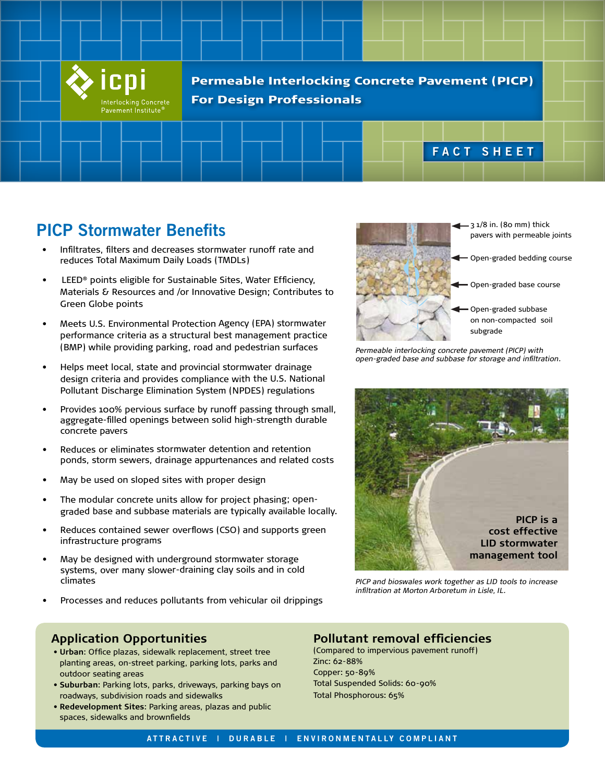

# **PICP Stormwater Benefits**

- • Infiltrates, filters and decreases stormwater runoff rate and reduces Total Maximum Daily Loads (TMDLs)
- LEED® points eligible for Sustainable Sites, Water Efficiency, Materials & Resources and /or Innovative Design; Contributes to Green Globe points
- • Meets U.S. Environmental Protection Agency (EPA) stormwater performance criteria as a structural best management practice (BMP) while providing parking, road and pedestrian surfaces
- • Helps meet local, state and provincial stormwater drainage design criteria and provides compliance with the U.S. National Pollutant Discharge Elimination System (NPDES) regulations
- • Provides 100% pervious surface by runoff passing through small, aggregate-filled openings between solid high-strength durable concrete pavers
- • Reduces or eliminates stormwater detention and retention ponds, storm sewers, drainage appurtenances and related costs
- May be used on sloped sites with proper design
- • The modular concrete units allow for project phasing; opengraded base and subbase materials are typically available locally.
- • Reduces contained sewer overflows (CSO) and supports green infrastructure programs
- • May be designed with underground stormwater storage systems, over many slower-draining clay soils and in cold climates
- •Processes and reduces pollutants from vehicular oil drippings

#### **Application Opportunities**

- **Urban**: Office plazas, sidewalk replacement, street tree planting areas, on-street parking, parking lots, parks and outdoor seating areas
- **Suburban**: Parking lots, parks, driveways, parking bays on roadways, subdivision roads and sidewalks
- **Redevelopment Sites**: Parking areas, plazas and public spaces, sidewalks and brownfields



*Permeable interlocking concrete pavement (PICP) with open-graded base and subbase for storage and infiltration.*



*PICP and bioswales work together as LID tools to increase infiltration at Morton Arboretum in Lisle, IL.*

### **Pollutant removal efficiencies**

(Compared to impervious pavement runoff) Zinc: 62-88% Copper: 50-89% Total Suspended Solids: 60-90% Total Phosphorous: 65%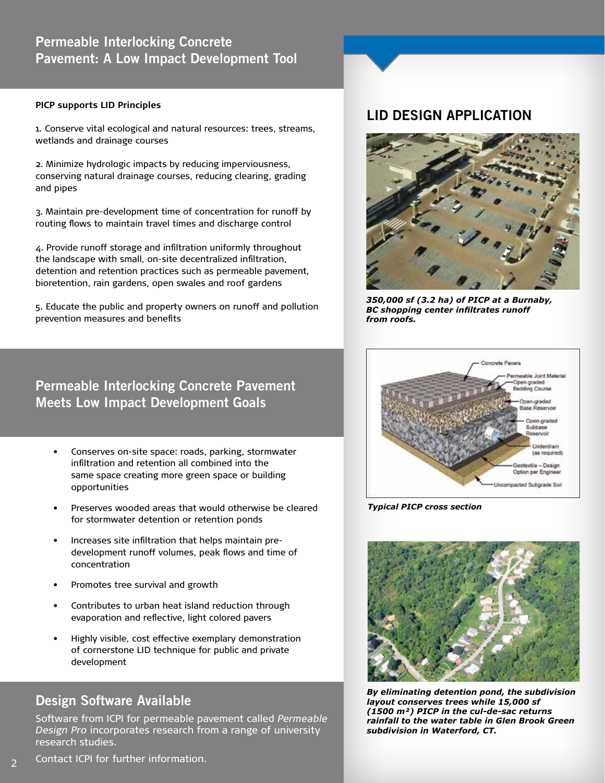## **Permeable Interlocking Concrete Pavement: A Low Impact Development Tool**

#### **PICP supports LID Principles**

1. Conserve vital ecological and natural resources: trees, streams, wetlands and drainage courses

2. Minimize hydrologic impacts by reducing imperviousness, conserving natural drainage courses, reducing clearing, grading and pipes

3. Maintain pre-development time of concentration for runoff by routing flows to maintain travel times and discharge control

4. Provide runoff storage and infiltration uniformly throughout the landscape with small, on-site decentralized infiltration, detention and retention practices such as permeable pavement, bioretention, rain gardens, open swales and roof gardens

5. Educate the public and property owners on runoff and pollution prevention measures and benefits

## **Permeable Interlocking Concrete Pavement Meets Low Impact Development Goals**

- Conserves on-site space: roads, parking, stormwater infiltration and retention all combined into the same space creating more green space or building opportunities
- Preserves wooded areas that would otherwise be cleared for stormwater detention or retention ponds
- Increases site infiltration that helps maintain predevelopment runoff volumes, peak flows and time of concentration
- Promotes tree survival and growth
- Contributes to urban heat island reduction through evaporation and reflective, light colored pavers
- Highly visible, cost effective exemplary demonstration of cornerstone LID technique for public and private development

## **Design Software Available**

Software from ICPI for permeable pavement called *Permeable Design Pro* incorporates research from a range of university research studies.

## **LID DESIGN APPLICATION**



*350,000 sf (3.2 ha) of PICP at a Burnaby, BC shopping center infiltrates runoff from roofs.*



*Typical PICP cross section*



*By eliminating detention pond, the subdivision By eliminating detention pond, the subdivision layout conserves trees while 15,000 sf (1500 layout conserves trees while 15,000 sf m²) PICP in the cul-de-sac returns rainfall to (1500 m²) PICP in the cul-de-sac returns the water table in Glen Brook Green subdivision rainfall to the water table in Glen Brook Green in Waterford, CT. subdivision in Waterford, CT.*

Contact ICPI for further information.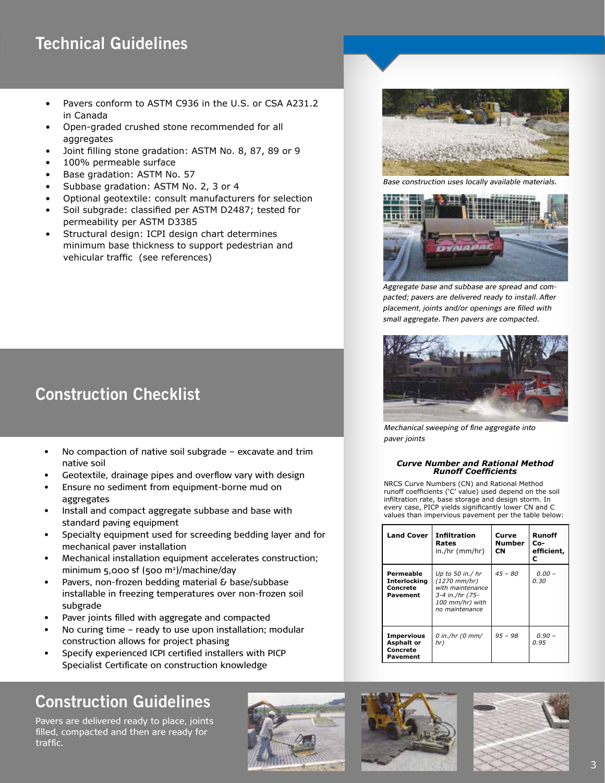# **Technical Guidelines**

- Pavers conform to ASTM C936 in the U.S. or CSA A231.2 in Canada
- Open-graded crushed stone recommended for all aggregates
- Joint filling stone gradation: ASTM No. 8, 87, 89 or 9
- 100% permeable surface
- Base gradation: ASTM No. 57
- Subbase gradation: ASTM No. 2, 3 or 4
- Optional geotextile: consult manufacturers for selection
- • Soil subgrade: classified per ASTM D2487; tested for permeability per ASTM D3385
- Structural design: ICPI design chart determines minimum base thickness to support pedestrian and vehicular traffic (see references)

# **Construction Checklist**

- No compaction of native soil subgrade excavate and trim native soil
- Geotextile, drainage pipes and overflow vary with design
- Ensure no sediment from equipment-borne mud on aggregates
- Install and compact aggregate subbase and base with standard paving equipment
- Specialty equipment used for screeding bedding layer and for mechanical paver installation
- Mechanical installation equipment accelerates construction; minimum 5,000 sf (500 m2 )/machine/day
- Pavers, non-frozen bedding material & base/subbase installable in freezing temperatures over non-frozen soil subgrade
- Paver joints filled with aggregate and compacted
- No curing time ready to use upon installation; modular construction allows for project phasing
- Specify experienced ICPI certified installers with PICP Specialist Certificate on construction knowledge

# **Construction Guidelines**

Pavers are delivered ready to place, joints filled, compacted and then are ready for traffic.









*Base construction uses locally available materials.*



*Aggregate base and subbase are spread and compacted; pavers are delivered ready to install. After placement, joints and/or openings are filled with small aggregate. Then pavers are compacted.*



*Mechanical sweeping of fine aggregate into paver joints*

#### *Curve Number and Rational Method Runoff Coefficients*

NRCS Curve Numbers (CN) and Rational Method runoff coefficients ('C' value) used depend on the soil infiltration rate, base storage and design storm. In every case, PICP yields significantly lower CN and C values than impervious pavement per the table below:

| <b>Land Cover</b>                                              | Infiltration<br>Rates<br>in./hr (mm/hr)                                                                           | Curve<br>Number<br><b>CN</b> | Runoff<br>Co-<br>efficient,<br>с |
|----------------------------------------------------------------|-------------------------------------------------------------------------------------------------------------------|------------------------------|----------------------------------|
| Permeable<br><b>Interlocking</b><br>Concrete<br>Pavement       | Up to 50 in./ hr<br>$(1270 \, mm/hr)$<br>with maintenance<br>3-4 in./hr (75-<br>100 mm/hr) with<br>no maintenance | $45 - 80$                    | $0.00 -$<br>0.30                 |
| <b>Impervious</b><br><b>Asphalt or</b><br>Concrete<br>Pavement | $0$ in./hr (0 mm/<br>hr)                                                                                          | $95 - 98$                    | $0.90 -$<br>0.95                 |